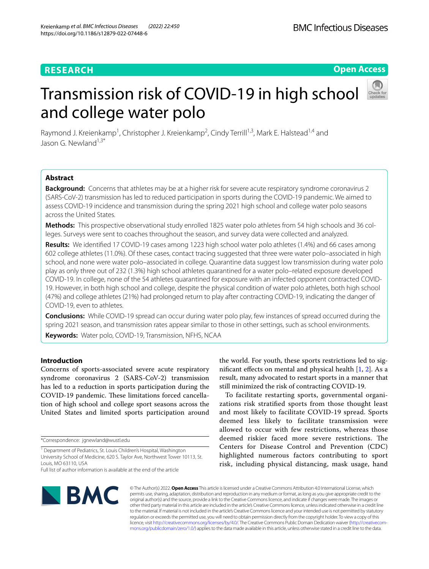## **RESEARCH**

**Open Access**

# Transmission risk of COVID-19 in high school and college water polo



Raymond J. Kreienkamp<sup>1</sup>, Christopher J. Kreienkamp<sup>2</sup>, Cindy Terrill<sup>1,3</sup>, Mark E. Halstead<sup>1,4</sup> and Jason G. Newland $1,3^*$ 

## **Abstract**

**Background:** Concerns that athletes may be at a higher risk for severe acute respiratory syndrome coronavirus 2 (SARS-CoV-2) transmission has led to reduced participation in sports during the COVID-19 pandemic. We aimed to assess COVID-19 incidence and transmission during the spring 2021 high school and college water polo seasons across the United States.

**Methods:** This prospective observational study enrolled 1825 water polo athletes from 54 high schools and 36 colleges. Surveys were sent to coaches throughout the season, and survey data were collected and analyzed.

**Results:** We identifed 17 COVID-19 cases among 1223 high school water polo athletes (1.4%) and 66 cases among 602 college athletes (11.0%). Of these cases, contact tracing suggested that three were water polo–associated in high school, and none were water polo–associated in college. Quarantine data suggest low transmission during water polo play as only three out of 232 (1.3%) high school athletes quarantined for a water polo–related exposure developed COVID-19. In college, none of the 54 athletes quarantined for exposure with an infected opponent contracted COVID-19. However, in both high school and college, despite the physical condition of water polo athletes, both high school (47%) and college athletes (21%) had prolonged return to play after contracting COVID-19, indicating the danger of COVID-19, even to athletes.

**Conclusions:** While COVID-19 spread can occur during water polo play, few instances of spread occurred during the spring 2021 season, and transmission rates appear similar to those in other settings, such as school environments.

**Keywords:** Water polo, COVID-19, Transmission, NFHS, NCAA

## **Introduction**

Concerns of sports-associated severe acute respiratory syndrome coronavirus 2 (SARS-CoV-2) transmission has led to a reduction in sports participation during the COVID-19 pandemic. These limitations forced cancellation of high school and college sport seasons across the United States and limited sports participation around

the world. For youth, these sports restrictions led to signifcant efects on mental and physical health [\[1](#page-5-0), [2](#page-5-1)]. As a result, many advocated to restart sports in a manner that still minimized the risk of contracting COVID-19.

To facilitate restarting sports, governmental organizations risk stratifed sports from those thought least and most likely to facilitate COVID-19 spread. Sports deemed less likely to facilitate transmission were allowed to occur with few restrictions, whereas those deemed riskier faced more severe restrictions. The Centers for Disease Control and Prevention (CDC) highlighted numerous factors contributing to sport risk, including physical distancing, mask usage, hand



© The Author(s) 2022. **Open Access** This article is licensed under a Creative Commons Attribution 4.0 International License, which permits use, sharing, adaptation, distribution and reproduction in any medium or format, as long as you give appropriate credit to the original author(s) and the source, provide a link to the Creative Commons licence, and indicate if changes were made. The images or other third party material in this article are included in the article's Creative Commons licence, unless indicated otherwise in a credit line to the material. If material is not included in the article's Creative Commons licence and your intended use is not permitted by statutory regulation or exceeds the permitted use, you will need to obtain permission directly from the copyright holder. To view a copy of this licence, visit [http://creativecommons.org/licenses/by/4.0/.](http://creativecommons.org/licenses/by/4.0/) The Creative Commons Public Domain Dedication waiver ([http://creativecom](http://creativecommons.org/publicdomain/zero/1.0/)[mons.org/publicdomain/zero/1.0/\)](http://creativecommons.org/publicdomain/zero/1.0/) applies to the data made available in this article, unless otherwise stated in a credit line to the data.

<sup>\*</sup>Correspondence: jgnewland@wustl.edu

<sup>&</sup>lt;sup>1</sup> Department of Pediatrics, St. Louis Children's Hospital, Washington University School of Medicine, 620 S. Taylor Ave, Northwest Tower 10113, St. Louis, MO 63110, USA

Full list of author information is available at the end of the article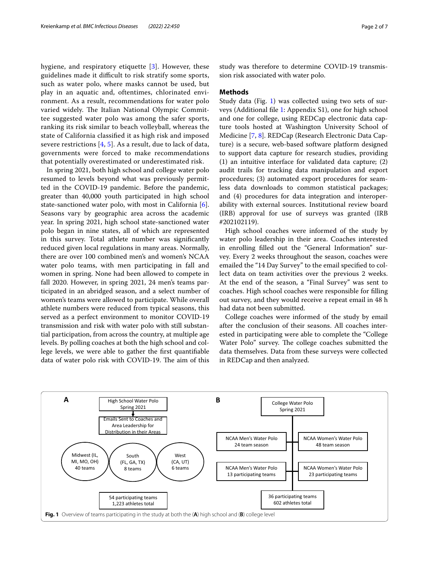hygiene, and respiratory etiquette [\[3](#page-5-2)]. However, these guidelines made it difficult to risk stratify some sports, such as water polo, where masks cannot be used, but play in an aquatic and, oftentimes, chlorinated environment. As a result, recommendations for water polo varied widely. The Italian National Olympic Committee suggested water polo was among the safer sports, ranking its risk similar to beach volleyball, whereas the state of California classifed it as high risk and imposed severe restrictions  $[4, 5]$  $[4, 5]$  $[4, 5]$  $[4, 5]$ . As a result, due to lack of data, governments were forced to make recommendations that potentially overestimated or underestimated risk.

In spring 2021, both high school and college water polo resumed to levels beyond what was previously permitted in the COVID-19 pandemic. Before the pandemic, greater than 40,000 youth participated in high school state-sanctioned water polo, with most in California [\[6](#page-5-5)]. Seasons vary by geographic area across the academic year. In spring 2021, high school state-sanctioned water polo began in nine states, all of which are represented in this survey. Total athlete number was signifcantly reduced given local regulations in many areas. Normally, there are over 100 combined men's and women's NCAA water polo teams, with men participating in fall and women in spring. None had been allowed to compete in fall 2020. However, in spring 2021, 24 men's teams participated in an abridged season, and a select number of women's teams were allowed to participate. While overall athlete numbers were reduced from typical seasons, this served as a perfect environment to monitor COVID-19 transmission and risk with water polo with still substantial participation, from across the country, at multiple age levels. By polling coaches at both the high school and college levels, we were able to gather the frst quantifable data of water polo risk with COVID-19. The aim of this study was therefore to determine COVID-19 transmission risk associated with water polo.

#### **Methods**

Study data (Fig. [1\)](#page-1-0) was collected using two sets of surveys (Additional fle [1:](#page-5-6) Appendix S1), one for high school and one for college, using REDCap electronic data capture tools hosted at Washington University School of Medicine [\[7,](#page-5-7) [8\]](#page-6-0). REDCap (Research Electronic Data Capture) is a secure, web-based software platform designed to support data capture for research studies, providing (1) an intuitive interface for validated data capture; (2) audit trails for tracking data manipulation and export procedures; (3) automated export procedures for seamless data downloads to common statistical packages; and (4) procedures for data integration and interoperability with external sources. Institutional review board (IRB) approval for use of surveys was granted (IRB #202102119).

High school coaches were informed of the study by water polo leadership in their area. Coaches interested in enrolling flled out the "General Information" survey. Every 2 weeks throughout the season, coaches were emailed the "14 Day Survey" to the email specifed to collect data on team activities over the previous 2 weeks. At the end of the season, a "Final Survey" was sent to coaches. High school coaches were responsible for flling out survey, and they would receive a repeat email in 48 h had data not been submitted.

College coaches were informed of the study by email after the conclusion of their seasons. All coaches interested in participating were able to complete the "College Water Polo" survey. The college coaches submitted the data themselves. Data from these surveys were collected in REDCap and then analyzed.

<span id="page-1-0"></span>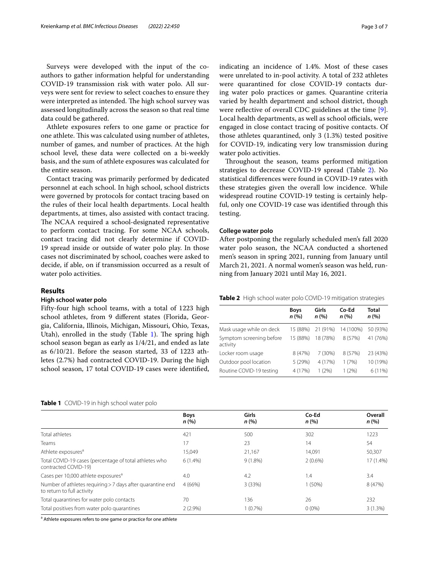Surveys were developed with the input of the coauthors to gather information helpful for understanding COVID-19 transmission risk with water polo. All surveys were sent for review to select coaches to ensure they were interpreted as intended. The high school survey was assessed longitudinally across the season so that real time data could be gathered.

Athlete exposures refers to one game or practice for one athlete. This was calculated using number of athletes, number of games, and number of practices. At the high school level, these data were collected on a bi-weekly basis, and the sum of athlete exposures was calculated for the entire season.

Contact tracing was primarily performed by dedicated personnel at each school. In high school, school districts were governed by protocols for contact tracing based on the rules of their local health departments. Local health departments, at times, also assisted with contact tracing. The NCAA required a school-designated representative to perform contact tracing. For some NCAA schools, contact tracing did not clearly determine if COVID-19 spread inside or outside of water polo play. In those cases not discriminated by school, coaches were asked to decide, if able, on if transmission occurred as a result of water polo activities.

#### **Results**

#### **High school water polo**

Fifty-four high school teams, with a total of 1223 high school athletes, from 9 diferent states (Florida, Georgia, California, Illinois, Michigan, Missouri, Ohio, Texas, Utah), enrolled in the study (Table  $1$ ). The spring high school season began as early as 1/4/21, and ended as late as 6/10/21. Before the season started, 33 of 1223 athletes (2.7%) had contracted COVID-19. During the high school season, 17 total COVID-19 cases were identifed,

indicating an incidence of 1.4%. Most of these cases were unrelated to in-pool activity. A total of 232 athletes were quarantined for close COVID-19 contacts during water polo practices or games. Quarantine criteria varied by health department and school district, though were reflective of overall CDC guidelines at the time [\[9](#page-6-1)]. Local health departments, as well as school officials, were engaged in close contact tracing of positive contacts. Of those athletes quarantined, only 3 (1.3%) tested positive for COVID-19, indicating very low transmission during water polo activities.

Throughout the season, teams performed mitigation strategies to decrease COVID-19 spread (Table [2](#page-2-1)). No statistical diferences were found in COVID-19 rates with these strategies given the overall low incidence. While widespread routine COVID-19 testing is certainly helpful, only one COVID-19 case was identifed through this testing.

#### **College water polo**

After postponing the regularly scheduled men's fall 2020 water polo season, the NCAA conducted a shortened men's season in spring 2021, running from January until March 21, 2021. A normal women's season was held, running from January 2021 until May 16, 2021.

<span id="page-2-1"></span>**Table 2** High school water polo COVID-19 mitigation strategies

|                                      | <b>Boys</b><br>n (%) | Girls<br>n(%) | Co-Ed<br>n(%) | Total<br>n (%) |
|--------------------------------------|----------------------|---------------|---------------|----------------|
| Mask usage while on deck             | 15 (88%)             | 21 (91%)      | 14 (100%)     | 50 (93%)       |
| Symptom screening before<br>activity | 15 (88%)             | 18 (78%)      | 8 (57%)       | 41 (76%)       |
| Locker room usage                    | 8 (47%)              | 7(30%)        | 8 (57%)       | 23 (43%)       |
| Outdoor pool location                | 5 (29%)              | 4 (17%)       | 1(7%)         | 10 (19%)       |
| Routine COVID-19 testing             | 4 (17%)              | 1(2%)         | 1(2%)         | 6 (11%)        |

#### <span id="page-2-0"></span>**Table 1** COVID-19 in high school water polo

|                                                                                          | <b>Boys</b><br>n(%) | Girls<br>n(%) | Co-Ed<br>n(%) | Overall<br>n(%) |
|------------------------------------------------------------------------------------------|---------------------|---------------|---------------|-----------------|
| Total athletes                                                                           | 421                 | 500           | 302           | 1223            |
| Teams                                                                                    | 17                  | 23            | 14            | 54              |
| Athlete exposures <sup>a</sup>                                                           | 15,049              | 21,167        | 14,091        | 50,307          |
| Total COVID-19 cases (percentage of total athletes who<br>contracted COVID-19)           | $6(1.4\%)$          | $9(1.8\%)$    | $2(0.6\%)$    | 17 (1.4%)       |
| Cases per 10,000 athlete exposures <sup>a</sup>                                          | 4.0                 | 4.2           | 1.4           | 3.4             |
| Number of athletes requiring > 7 days after quarantine end<br>to return to full activity | 4 (66%)             | 3 (33%)       | 1(50%)        | 8 (47%)         |
| Total quarantines for water polo contacts                                                | 70                  | 136           | 26            | 232             |
| Total positives from water polo quarantines                                              | $2(2.9\%)$          | 1(0.7%)       | $0(0\%)$      | $3(1.3\%)$      |

<sup>a</sup> Athlete exposures refers to one game or practice for one athlete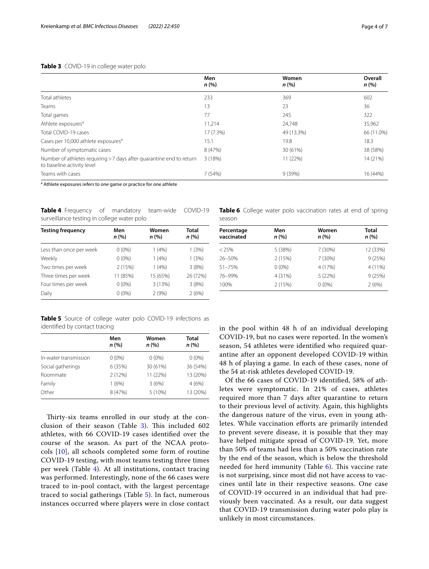#### <span id="page-3-0"></span>**Table 3** COVID-19 in college water polo

|                                                                                                    | Men<br>n(%) | Women<br>n (%) | Overall<br>n (%) |
|----------------------------------------------------------------------------------------------------|-------------|----------------|------------------|
| Total athletes                                                                                     | 233         | 369            | 602              |
| Teams                                                                                              | 13          | 23             | 36               |
| Total games                                                                                        | 77          | 245            | 322              |
| Athlete exposures <sup>a</sup>                                                                     | 11,214      | 24,748         | 35,962           |
| Total COVID-19 cases                                                                               | 17 (7.3%)   | 49 (13.3%)     | 66 (11.0%)       |
| Cases per 10,000 athlete exposures <sup>a</sup>                                                    | 15.1        | 19.8           | 18.3             |
| Number of symptomatic cases                                                                        | 8 (47%)     | 30 (61%)       | 38 (58%)         |
| Number of athletes requiring > 7 days after quarantine end to return<br>to baseline activity level | 3(18%)      | 11 (22%)       | 14 (21%)         |
| Teams with cases                                                                                   | 7(54%)      | 9(39%)         | 16 (44%)         |

<sup>a</sup> Athlete exposures refers to one game or practice for one athlete

<span id="page-3-1"></span>**Table 4** Frequency of mandatory team-wide COVID-19 surveillance testing in college water polo

| <b>Testing frequency</b> | Men<br>n (%) | Women<br>n (%) | <b>Total</b><br>n (%) |
|--------------------------|--------------|----------------|-----------------------|
| Less than once per week  | $0(0\%)$     | 1(4%)          | 1(3%)                 |
| Weekly                   | $0(0\%)$     | 1(4%)          | 1(3%)                 |
| Two times per week       | 2(15%)       | 1(4%)          | 3(8%)                 |
| Three times per week     | 11 (85%)     | 15 (65%)       | 26 (72%)              |
| Four times per week      | $0(0\%)$     | 3(13%)         | 3(8%)                 |
| Daily                    | $0(0\%)$     | 2(9%)          | 2(6%)                 |

<span id="page-3-2"></span>**Table 5** Source of college water polo COVID-19 infections as identifed by contact tracing

|                       | Men<br>n (%) | Women<br>n (%) | Total<br>n (%) |
|-----------------------|--------------|----------------|----------------|
| In-water transmission | $0(0\%)$     | $0(0\%)$       | $0(0\%)$       |
| Social gatherings     | 6 (35%)      | 30 (61%)       | 36 (54%)       |
| Roommate              | 2(12%)       | 11 (22%)       | 13 (20%)       |
| Family                | 1(6%)        | 3(6%)          | 4(6%)          |
| Other                 | 8 (47%)      | 5 (10%)        | 13 (20%)       |

Thirty-six teams enrolled in our study at the conclusion of their season (Table  $3$ ). This included 602 athletes, with 66 COVID-19 cases identifed over the course of the season. As part of the NCAA protocols [\[10](#page-6-2)], all schools completed some form of routine COVID-19 testing, with most teams testing three times per week (Table [4\)](#page-3-1). At all institutions, contact tracing was performed. Interestingly, none of the 66 cases were traced to in-pool contact, with the largest percentage traced to social gatherings (Table [5](#page-3-2)). In fact, numerous instances occurred where players were in close contact <span id="page-3-3"></span>**Table 6** College water polo vaccination rates at end of spring season

| Percentage<br>vaccinated | Men<br>n (%) | Women<br>n (%) | Total<br>n (%) |
|--------------------------|--------------|----------------|----------------|
| $< 25\%$                 | 5 (38%)      | 7(30%)         | 12 (33%)       |
| 26-50%                   | 2(15%)       | 7 (30%)        | 9(25%)         |
| 51-75%                   | $0(0\%)$     | 4 (17%)        | 4 (11%)        |
| 76-99%                   | 4 (31%)      | 5 (22%)        | 9(25%)         |
| 100%                     | 2(15%)       | $0(0\%)$       | 2(6%)          |

in the pool within 48 h of an individual developing COVID-19, but no cases were reported. In the women's season, 54 athletes were identifed who required quarantine after an opponent developed COVID-19 within 48 h of playing a game. In each of these cases, none of the 54 at-risk athletes developed COVID-19.

Of the 66 cases of COVID-19 identifed, 58% of athletes were symptomatic. In 21% of cases, athletes required more than 7 days after quarantine to return to their previous level of activity. Again, this highlights the dangerous nature of the virus, even in young athletes. While vaccination efforts are primarily intended to prevent severe disease, it is possible that they may have helped mitigate spread of COVID-19. Yet, more than 50% of teams had less than a 50% vaccination rate by the end of the season, which is below the threshold needed for herd immunity (Table  $6$ ). This vaccine rate is not surprising, since most did not have access to vaccines until late in their respective seasons. One case of COVID-19 occurred in an individual that had previously been vaccinated. As a result, our data suggest that COVID-19 transmission during water polo play is unlikely in most circumstances.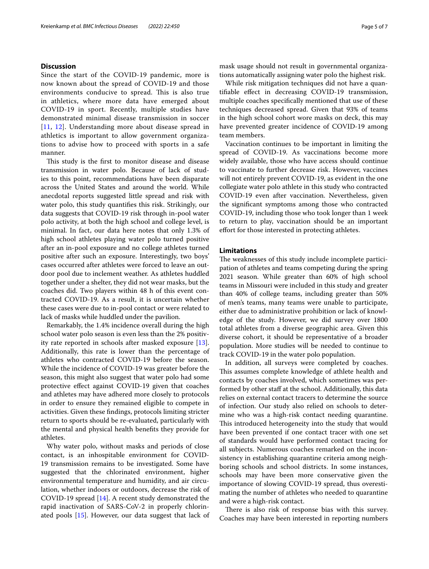### **Discussion**

Since the start of the COVID-19 pandemic, more is now known about the spread of COVID-19 and those environments conducive to spread. This is also true in athletics, where more data have emerged about COVID-19 in sport. Recently, multiple studies have demonstrated minimal disease transmission in soccer [[11](#page-6-3), [12](#page-6-4)]. Understanding more about disease spread in athletics is important to allow government organizations to advise how to proceed with sports in a safe manner.

This study is the first to monitor disease and disease transmission in water polo. Because of lack of studies to this point, recommendations have been disparate across the United States and around the world. While anecdotal reports suggested little spread and risk with water polo, this study quantifes this risk. Strikingly, our data suggests that COVID-19 risk through in-pool water polo activity, at both the high school and college level, is minimal. In fact, our data here notes that only 1.3% of high school athletes playing water polo turned positive after an in-pool exposure and no college athletes turned positive after such an exposure. Interestingly, two boys' cases occurred after athletes were forced to leave an outdoor pool due to inclement weather. As athletes huddled together under a shelter, they did not wear masks, but the coaches did. Two players within 48 h of this event contracted COVID-19. As a result, it is uncertain whether these cases were due to in-pool contact or were related to lack of masks while huddled under the pavilion.

Remarkably, the 1.4% incidence overall during the high school water polo season is even less than the 2% positivity rate reported in schools after masked exposure [\[13](#page-6-5)]. Additionally, this rate is lower than the percentage of athletes who contracted COVID-19 before the season. While the incidence of COVID-19 was greater before the season, this might also suggest that water polo had some protective efect against COVID-19 given that coaches and athletes may have adhered more closely to protocols in order to ensure they remained eligible to compete in activities. Given these fndings, protocols limiting stricter return to sports should be re-evaluated, particularly with the mental and physical health benefts they provide for athletes.

Why water polo, without masks and periods of close contact, is an inhospitable environment for COVID-19 transmission remains to be investigated. Some have suggested that the chlorinated environment, higher environmental temperature and humidity, and air circulation, whether indoors or outdoors, decrease the risk of COVID-19 spread [[14](#page-6-6)]. A recent study demonstrated the rapid inactivation of SARS-CoV-2 in properly chlorinated pools [\[15](#page-6-7)]. However, our data suggest that lack of mask usage should not result in governmental organizations automatically assigning water polo the highest risk.

While risk mitigation techniques did not have a quantifable efect in decreasing COVID-19 transmission, multiple coaches specifcally mentioned that use of these techniques decreased spread. Given that 93% of teams in the high school cohort wore masks on deck, this may have prevented greater incidence of COVID-19 among team members.

Vaccination continues to be important in limiting the spread of COVID-19. As vaccinations become more widely available, those who have access should continue to vaccinate to further decrease risk. However, vaccines will not entirely prevent COVID-19, as evident in the one collegiate water polo athlete in this study who contracted COVID-19 even after vaccination. Nevertheless, given the signifcant symptoms among those who contracted COVID-19, including those who took longer than 1 week to return to play, vaccination should be an important efort for those interested in protecting athletes.

## **Limitations**

The weaknesses of this study include incomplete participation of athletes and teams competing during the spring 2021 season. While greater than 60% of high school teams in Missouri were included in this study and greater than 40% of college teams, including greater than 50% of men's teams, many teams were unable to participate, either due to administrative prohibition or lack of knowledge of the study. However, we did survey over 1800 total athletes from a diverse geographic area. Given this diverse cohort, it should be representative of a broader population. More studies will be needed to continue to track COVID-19 in the water polo population.

In addition, all surveys were completed by coaches. This assumes complete knowledge of athlete health and contacts by coaches involved, which sometimes was performed by other staff at the school. Additionally, this data relies on external contact tracers to determine the source of infection. Our study also relied on schools to determine who was a high-risk contact needing quarantine. This introduced heterogeneity into the study that would have been prevented if one contact tracer with one set of standards would have performed contact tracing for all subjects. Numerous coaches remarked on the inconsistency in establishing quarantine criteria among neighboring schools and school districts. In some instances, schools may have been more conservative given the importance of slowing COVID-19 spread, thus overestimating the number of athletes who needed to quarantine and were a high-risk contact.

There is also risk of response bias with this survey. Coaches may have been interested in reporting numbers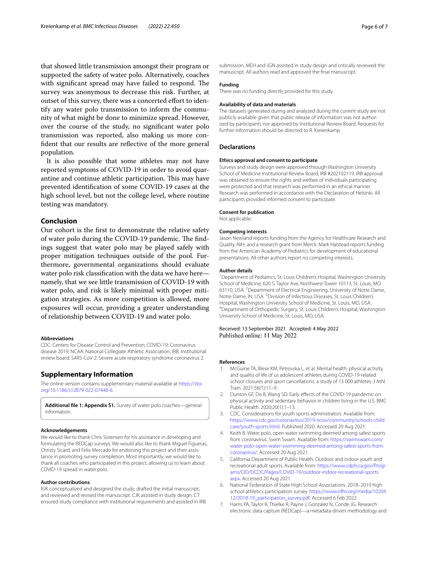that showed little transmission amongst their program or supported the safety of water polo. Alternatively, coaches with significant spread may have failed to respond. The survey was anonymous to decrease this risk. Further, at outset of this survey, there was a concerted effort to identify any water polo transmission to inform the community of what might be done to minimize spread. However, over the course of the study, no signifcant water polo transmission was reported, also making us more confdent that our results are refective of the more general population.

It is also possible that some athletes may not have reported symptoms of COVID-19 in order to avoid quarantine and continue athletic participation. This may have prevented identifcation of some COVID-19 cases at the high school level, but not the college level, where routine testing was mandatory.

#### **Conclusion**

Our cohort is the frst to demonstrate the relative safety of water polo during the COVID-19 pandemic. The findings suggest that water polo may be played safely with proper mitigation techniques outside of the pool. Furthermore, governmental organizations should evaluate water polo risk classifcation with the data we have here namely, that we see little transmission of COVID-19 with water polo, and risk is likely minimal with proper mitigation strategies. As more competition is allowed, more exposures will occur, providing a greater understanding of relationship between COVID-19 and water polo.

#### **Abbreviations**

CDC: Centers for Disease Control and Prevention; COVID-19: Coronavirus disease 2019; NCAA: National Collegiate Athletic Association; IRB: Institutional review board; SARS-CoV-2: Severe acute respiratory syndrome coronavirus 2.

#### **Supplementary Information**

The online version contains supplementary material available at [https://doi.](https://doi.org/10.1186/s12879-022-07448-6) [org/10.1186/s12879-022-07448-6](https://doi.org/10.1186/s12879-022-07448-6).

<span id="page-5-6"></span>**Additional fle 1: Appendix S1.** Survey of water polo coaches—general information.

#### **Acknowledgements**

We would like to thank Chris Sorensen for his assistance in developing and formulating the REDCap surveys. We would also like to thank Miguel Figueras, Christy Sicard, and Felix Mercado for endorsing this project and their assistance in promoting survey completion. Most importantly, we would like to thank all coaches who participated in this project, allowing us to learn about COVID-19 spread in water polo.

#### **Author contributions**

RJK conceptualized and designed the study, drafted the initial manuscript, and reviewed and revised the manuscript. CJK assisted in study design. CT ensured study compliance with institutional requirements and assisted in IRB

submission. MEH and JGN assisted in study design and critically reviewed the manuscript. All authors read and approved the fnal manuscript.

#### **Funding**

There was no funding directly provided for this study.

#### **Availability of data and materials**

The datasets generated during and analyzed during the current study are not publicly available given that public release of information was not authorized by participants nor approved by Institutional Review Board. Requests for further information should be directed to R. Kreienkamp.

#### **Declarations**

#### **Ethics approval and consent to participate**

Surveys and study design were approved through Washington University School of Medicine Institutional Review Board, IRB #202102119. IRB approval was obtained to ensure the rights and welfare of individuals participating were protected and that research was performed in an ethical manner. Research was performed in accordance with the Declaration of Helsinki. All participants provided informed consent to participate.

#### **Consent for publication**

Not applicable.

#### **Competing interests**

Jason Newland reports funding from the Agency for Healthcare Research and Quality, NIH, and a research grant from Merck. Mark Halstead reports funding from the American Academy of Pediatrics for development of educational presentations. All other authors report no competing interests.

#### **Author details**

<sup>1</sup> Department of Pediatrics, St. Louis Children's Hospital, Washington University School of Medicine, 620 S. Taylor Ave, Northwest Tower 10113, St. Louis, MO 63110, USA. <sup>2</sup> Department of Electrical Engineering, University of Notre Dame, Notre Dame, IN, USA. <sup>3</sup> Division of Infectious Diseases, St. Louis Children's Hospital, Washington University School of Medicine, St. Louis, MO, USA. 4 Department of Orthopedic Surgery, St. Louis Children's Hospital, Washington University School of Medicine, St. Louis, MO, USA.

Received: 13 September 2021 Accepted: 4 May 2022 Published online: 11 May 2022

#### **References**

- <span id="page-5-0"></span>1. McGuine TA, Biese KM, Petrovska L, et al. Mental health, physical activity, and quality of life of us adolescent athletes during COVID-19-related school closures and sport cancellations: a study of 13 000 athletes. J Athl Train. 2021;56(1):11–9.
- <span id="page-5-1"></span>2. Dunton GF, Do B, Wang SD. Early effects of the COVID-19 pandemic on physical activity and sedentary behavior in children living in the U.S. BMC Public Health. 2020;20(1):1–13.
- <span id="page-5-2"></span>3. CDC. Considerations for youth sports administrators. Available from: [https://www.cdc.gov/coronavirus/2019-ncov/community/schools-child](https://www.cdc.gov/coronavirus/2019-ncov/community/schools-childcare/youth-sports.html) [care/youth-sports.html](https://www.cdc.gov/coronavirus/2019-ncov/community/schools-childcare/youth-sports.html). Published 2020. Accessed 20 Aug 2021.
- <span id="page-5-3"></span>4. Keith B. Water polo, open water swimming deemed among safest sports from coronavirus. Swim Swam. Available from: [https://swimswam.com/](https://swimswam.com/water-polo-open-water-swimming-deemed-among-safest-sports-from-coronavirus/) [water-polo-open-water-swimming-deemed-among-safest-sports-from](https://swimswam.com/water-polo-open-water-swimming-deemed-among-safest-sports-from-coronavirus/)[coronavirus/](https://swimswam.com/water-polo-open-water-swimming-deemed-among-safest-sports-from-coronavirus/). Accessed 20 Aug 2021.
- <span id="page-5-4"></span>5. California Department of Public Health. Outdoor and indoor youth and recreational adult sports. Available from: [https://www.cdph.ca.gov/Progr](https://www.cdph.ca.gov/Programs/CID/DCDC/Pages/COVID-19/outdoor-indoor-recreational-sports.aspx) [ams/CID/DCDC/Pages/COVID-19/outdoor-indoor-recreational-sports.](https://www.cdph.ca.gov/Programs/CID/DCDC/Pages/COVID-19/outdoor-indoor-recreational-sports.aspx) [aspx](https://www.cdph.ca.gov/Programs/CID/DCDC/Pages/COVID-19/outdoor-indoor-recreational-sports.aspx). Accessed 20 Aug 2021.
- <span id="page-5-5"></span>6. National Federation of State High School Associations. 2018–2019 high school athletics participation survey. [https://www.nfhs.org/media/10204](https://www.nfhs.org/media/1020412/2018-19_participation_survey.pdf) [12/2018-19\\_participation\\_survey.pdf](https://www.nfhs.org/media/1020412/2018-19_participation_survey.pdf). Accessed 6 Feb 2022.
- <span id="page-5-7"></span>7. Harris PA, Taylor R, Thielke R, Payne J, Gonzalez N, Conde JG. Research electronic data capture (REDCap)—a metadata-driven methodology and